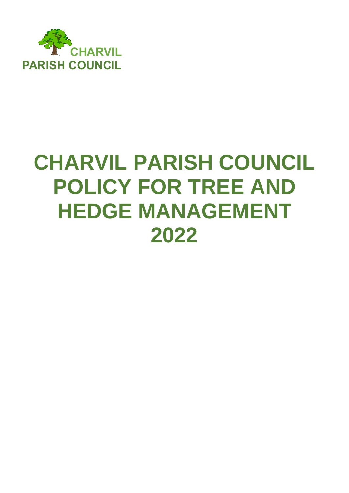

# **CHARVIL PARISH COUNCIL POLICY FOR TREE AND HEDGE MANAGEMENT 2022**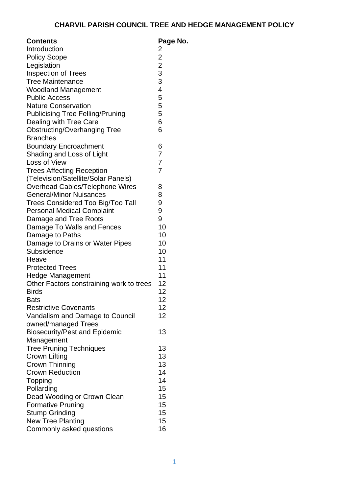| <b>Contents</b>                          | Page No.                                   |
|------------------------------------------|--------------------------------------------|
| Introduction                             | 2                                          |
| <b>Policy Scope</b>                      | $\overline{c}$                             |
| Legislation                              |                                            |
| <b>Inspection of Trees</b>               | $\begin{array}{c} 2 \\ 3 \\ 3 \end{array}$ |
| <b>Tree Maintenance</b>                  |                                            |
| <b>Woodland Management</b>               | $\overline{\mathbf{4}}$                    |
| <b>Public Access</b>                     | 5                                          |
| <b>Nature Conservation</b>               | 5                                          |
| <b>Publicising Tree Felling/Pruning</b>  | 5                                          |
| Dealing with Tree Care                   | 6                                          |
| <b>Obstructing/Overhanging Tree</b>      | 6                                          |
| <b>Branches</b>                          |                                            |
| <b>Boundary Encroachment</b>             | 6                                          |
| Shading and Loss of Light                | $\overline{7}$                             |
| Loss of View                             | $\overline{7}$                             |
| <b>Trees Affecting Reception</b>         | $\overline{7}$                             |
| (Television/Satellite/Solar Panels)      |                                            |
| Overhead Cables/Telephone Wires          | 8                                          |
| <b>General/Minor Nuisances</b>           | 8                                          |
| <b>Trees Considered Too Big/Too Tall</b> | 9                                          |
| <b>Personal Medical Complaint</b>        | 9                                          |
| Damage and Tree Roots                    | 9                                          |
| Damage To Walls and Fences               | 10                                         |
| Damage to Paths                          | 10                                         |
| Damage to Drains or Water Pipes          | 10                                         |
| Subsidence                               | 10                                         |
| Heave                                    | 11                                         |
| <b>Protected Trees</b>                   | 11                                         |
| <b>Hedge Management</b>                  | 11                                         |
| Other Factors constraining work to trees | 12                                         |
| <b>Birds</b>                             | 12                                         |
| <b>Bats</b>                              | 12                                         |
| <b>Restrictive Covenants</b>             | 12                                         |
| Vandalism and Damage to Council          | 12                                         |
| owned/managed Trees                      |                                            |
| <b>Biosecurity/Pest and Epidemic</b>     | 13                                         |
| Management                               |                                            |
| <b>Tree Pruning Techniques</b>           | 13                                         |
| <b>Crown Lifting</b>                     | 13                                         |
| <b>Crown Thinning</b>                    | 13                                         |
| <b>Crown Reduction</b>                   | 14                                         |
| Topping                                  | 14                                         |
| Pollarding                               | 15                                         |
| Dead Wooding or Crown Clean              | 15                                         |
| <b>Formative Pruning</b>                 | 15                                         |
| <b>Stump Grinding</b>                    | 15                                         |
| <b>New Tree Planting</b>                 | 15                                         |
| Commonly asked questions                 | 16                                         |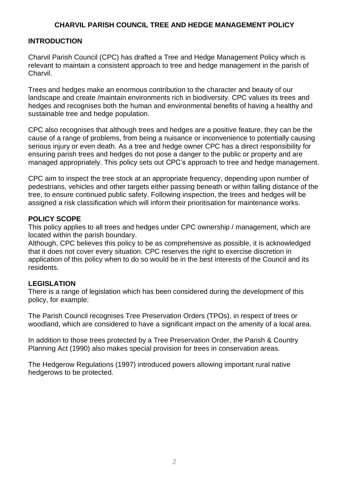# **INTRODUCTION**

Charvil Parish Council (CPC) has drafted a Tree and Hedge Management Policy which is relevant to maintain a consistent approach to tree and hedge management in the parish of Charvil.

Trees and hedges make an enormous contribution to the character and beauty of our landscape and create /maintain environments rich in biodiversity. CPC values its trees and hedges and recognises both the human and environmental benefits of having a healthy and sustainable tree and hedge population.

CPC also recognises that although trees and hedges are a positive feature, they can be the cause of a range of problems, from being a nuisance or inconvenience to potentially causing serious injury or even death. As a tree and hedge owner CPC has a direct responsibility for ensuring parish trees and hedges do not pose a danger to the public or property and are managed appropriately. This policy sets out CPC's approach to tree and hedge management.

CPC aim to inspect the tree stock at an appropriate frequency, depending upon number of pedestrians, vehicles and other targets either passing beneath or within falling distance of the tree, to ensure continued public safety. Following inspection, the trees and hedges will be assigned a risk classification which will inform their prioritisation for maintenance works.

## **POLICY SCOPE**

This policy applies to all trees and hedges under CPC ownership / management, which are located within the parish boundary.

Although, CPC believes this policy to be as comprehensive as possible, it is acknowledged that it does not cover every situation. CPC reserves the right to exercise discretion in application of this policy when to do so would be in the best interests of the Council and its residents.

## **LEGISLATION**

There is a range of legislation which has been considered during the development of this policy, for example:

The Parish Council recognises Tree Preservation Orders (TPOs), in respect of trees or woodland, which are considered to have a significant impact on the amenity of a local area.

In addition to those trees protected by a Tree Preservation Order, the Parish & Country Planning Act (1990) also makes special provision for trees in conservation areas.

The Hedgerow Regulations (1997) introduced powers allowing important rural native hedgerows to be protected.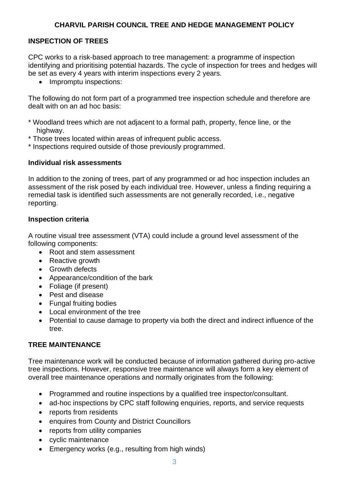# **INSPECTION OF TREES**

CPC works to a risk-based approach to tree management: a programme of inspection identifying and prioritising potential hazards. The cycle of inspection for trees and hedges will be set as every 4 years with interim inspections every 2 years.

• Impromptu inspections:

The following do not form part of a programmed tree inspection schedule and therefore are dealt with on an ad hoc basis:

- \* Woodland trees which are not adjacent to a formal path, property, fence line, or the highway.
- \* Those trees located within areas of infrequent public access.

\* Inspections required outside of those previously programmed.

## **Individual risk assessments**

In addition to the zoning of trees, part of any programmed or ad hoc inspection includes an assessment of the risk posed by each individual tree. However, unless a finding requiring a remedial task is identified such assessments are not generally recorded, i.e., negative reporting.

# **Inspection criteria**

A routine visual tree assessment (VTA) could include a ground level assessment of the following components:

- Root and stem assessment
- Reactive growth
- Growth defects
- Appearance/condition of the bark
- Foliage (if present)
- Pest and disease
- Fungal fruiting bodies
- Local environment of the tree
- Potential to cause damage to property via both the direct and indirect influence of the tree.

# **TREE MAINTENANCE**

Tree maintenance work will be conducted because of information gathered during pro-active tree inspections. However, responsive tree maintenance will always form a key element of overall tree maintenance operations and normally originates from the following:

- Programmed and routine inspections by a qualified tree inspector/consultant.
- ad-hoc inspections by CPC staff following enquiries, reports, and service requests
- reports from residents
- enquires from County and District Councillors
- reports from utility companies
- cyclic maintenance
- Emergency works (e.g., resulting from high winds)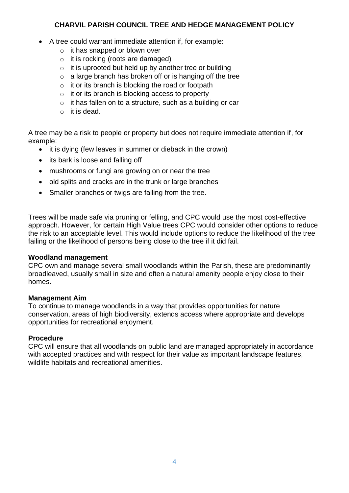- A tree could warrant immediate attention if, for example:
	- o it has snapped or blown over
	- o it is rocking (roots are damaged)
	- $\circ$  it is uprooted but held up by another tree or building
	- $\circ$  a large branch has broken off or is hanging off the tree
	- $\circ$  it or its branch is blocking the road or footpath
	- $\circ$  it or its branch is blocking access to property
	- o it has fallen on to a structure, such as a building or car
	- o it is dead.

A tree may be a risk to people or property but does not require immediate attention if, for example:

- it is dying (few leaves in summer or dieback in the crown)
- its bark is loose and falling off
- mushrooms or fungi are growing on or near the tree
- old splits and cracks are in the trunk or large branches
- Smaller branches or twigs are falling from the tree.

Trees will be made safe via pruning or felling, and CPC would use the most cost-effective approach. However, for certain High Value trees CPC would consider other options to reduce the risk to an acceptable level. This would include options to reduce the likelihood of the tree failing or the likelihood of persons being close to the tree if it did fail.

## **Woodland management**

CPC own and manage several small woodlands within the Parish, these are predominantly broadleaved, usually small in size and often a natural amenity people enjoy close to their homes.

## **Management Aim**

To continue to manage woodlands in a way that provides opportunities for nature conservation, areas of high biodiversity, extends access where appropriate and develops opportunities for recreational enjoyment.

## **Procedure**

CPC will ensure that all woodlands on public land are managed appropriately in accordance with accepted practices and with respect for their value as important landscape features, wildlife habitats and recreational amenities.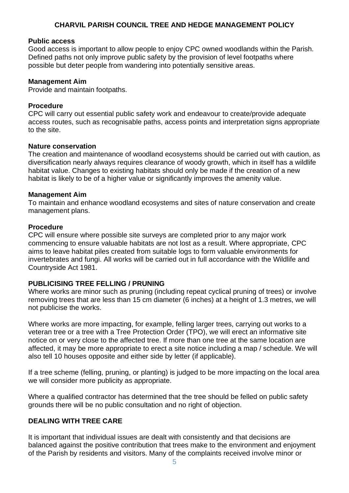#### **Public access**

Good access is important to allow people to enjoy CPC owned woodlands within the Parish. Defined paths not only improve public safety by the provision of level footpaths where possible but deter people from wandering into potentially sensitive areas.

#### **Management Aim**

Provide and maintain footpaths.

#### **Procedure**

CPC will carry out essential public safety work and endeavour to create/provide adequate access routes, such as recognisable paths, access points and interpretation signs appropriate to the site.

#### **Nature conservation**

The creation and maintenance of woodland ecosystems should be carried out with caution, as diversification nearly always requires clearance of woody growth, which in itself has a wildlife habitat value. Changes to existing habitats should only be made if the creation of a new habitat is likely to be of a higher value or significantly improves the amenity value.

## **Management Aim**

To maintain and enhance woodland ecosystems and sites of nature conservation and create management plans.

#### **Procedure**

CPC will ensure where possible site surveys are completed prior to any major work commencing to ensure valuable habitats are not lost as a result. Where appropriate, CPC aims to leave habitat piles created from suitable logs to form valuable environments for invertebrates and fungi. All works will be carried out in full accordance with the Wildlife and Countryside Act 1981.

## **PUBLICISING TREE FELLING / PRUNING**

Where works are minor such as pruning (including repeat cyclical pruning of trees) or involve removing trees that are less than 15 cm diameter (6 inches) at a height of 1.3 metres, we will not publicise the works.

Where works are more impacting, for example, felling larger trees, carrying out works to a veteran tree or a tree with a Tree Protection Order (TPO), we will erect an informative site notice on or very close to the affected tree. If more than one tree at the same location are affected, it may be more appropriate to erect a site notice including a map / schedule. We will also tell 10 houses opposite and either side by letter (if applicable).

If a tree scheme (felling, pruning, or planting) is judged to be more impacting on the local area we will consider more publicity as appropriate.

Where a qualified contractor has determined that the tree should be felled on public safety grounds there will be no public consultation and no right of objection.

## **DEALING WITH TREE CARE**

It is important that individual issues are dealt with consistently and that decisions are balanced against the positive contribution that trees make to the environment and enjoyment of the Parish by residents and visitors. Many of the complaints received involve minor or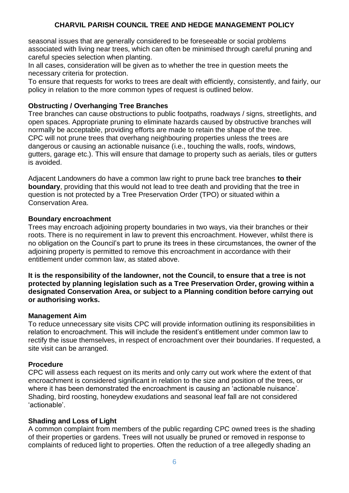seasonal issues that are generally considered to be foreseeable or social problems associated with living near trees, which can often be minimised through careful pruning and careful species selection when planting.

In all cases, consideration will be given as to whether the tree in question meets the necessary criteria for protection.

To ensure that requests for works to trees are dealt with efficiently, consistently, and fairly, our policy in relation to the more common types of request is outlined below.

#### **Obstructing / Overhanging Tree Branches**

Tree branches can cause obstructions to public footpaths, roadways / signs, streetlights, and open spaces. Appropriate pruning to eliminate hazards caused by obstructive branches will normally be acceptable, providing efforts are made to retain the shape of the tree. CPC will not prune trees that overhang neighbouring properties unless the trees are dangerous or causing an actionable nuisance (i.e., touching the walls, roofs, windows, gutters, garage etc.). This will ensure that damage to property such as aerials, tiles or gutters is avoided.

Adjacent Landowners do have a common law right to prune back tree branches **to their boundary**, providing that this would not lead to tree death and providing that the tree in question is not protected by a Tree Preservation Order (TPO) or situated within a Conservation Area.

#### **Boundary encroachment**

Trees may encroach adjoining property boundaries in two ways, via their branches or their roots. There is no requirement in law to prevent this encroachment. However, whilst there is no obligation on the Council's part to prune its trees in these circumstances, the owner of the adjoining property is permitted to remove this encroachment in accordance with their entitlement under common law, as stated above.

**It is the responsibility of the landowner, not the Council, to ensure that a tree is not protected by planning legislation such as a Tree Preservation Order, growing within a designated Conservation Area, or subject to a Planning condition before carrying out or authorising works.** 

#### **Management Aim**

To reduce unnecessary site visits CPC will provide information outlining its responsibilities in relation to encroachment. This will include the resident's entitlement under common law to rectify the issue themselves, in respect of encroachment over their boundaries. If requested, a site visit can be arranged.

#### **Procedure**

CPC will assess each request on its merits and only carry out work where the extent of that encroachment is considered significant in relation to the size and position of the trees, or where it has been demonstrated the encroachment is causing an 'actionable nuisance'. Shading, bird roosting, honeydew exudations and seasonal leaf fall are not considered 'actionable'.

#### **Shading and Loss of Light**

A common complaint from members of the public regarding CPC owned trees is the shading of their properties or gardens. Trees will not usually be pruned or removed in response to complaints of reduced light to properties. Often the reduction of a tree allegedly shading an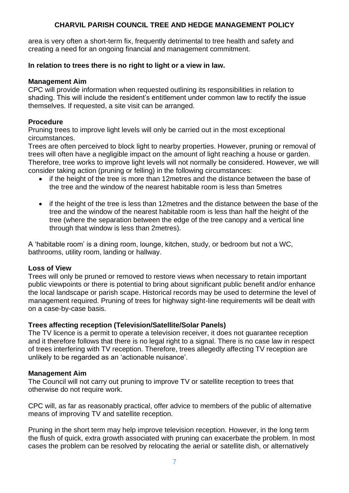area is very often a short-term fix, frequently detrimental to tree health and safety and creating a need for an ongoing financial and management commitment.

## **In relation to trees there is no right to light or a view in law.**

#### **Management Aim**

CPC will provide information when requested outlining its responsibilities in relation to shading. This will include the resident's entitlement under common law to rectify the issue themselves. If requested, a site visit can be arranged.

## **Procedure**

Pruning trees to improve light levels will only be carried out in the most exceptional circumstances.

Trees are often perceived to block light to nearby properties. However, pruning or removal of trees will often have a negligible impact on the amount of light reaching a house or garden. Therefore, tree works to improve light levels will not normally be considered. However, we will consider taking action (pruning or felling) in the following circumstances:

- if the height of the tree is more than 12 metres and the distance between the base of the tree and the window of the nearest habitable room is less than 5metres
- if the height of the tree is less than 12metres and the distance between the base of the tree and the window of the nearest habitable room is less than half the height of the tree (where the separation between the edge of the tree canopy and a vertical line through that window is less than 2metres).

A 'habitable room' is a dining room, lounge, kitchen, study, or bedroom but not a WC, bathrooms, utility room, landing or hallway.

## **Loss of View**

Trees will only be pruned or removed to restore views when necessary to retain important public viewpoints or there is potential to bring about significant public benefit and/or enhance the local landscape or parish scape. Historical records may be used to determine the level of management required. Pruning of trees for highway sight-line requirements will be dealt with on a case-by-case basis.

## **Trees affecting reception (Television/Satellite/Solar Panels)**

The TV licence is a permit to operate a television receiver, it does not guarantee reception and it therefore follows that there is no legal right to a signal. There is no case law in respect of trees interfering with TV reception. Therefore, trees allegedly affecting TV reception are unlikely to be regarded as an 'actionable nuisance'.

## **Management Aim**

The Council will not carry out pruning to improve TV or satellite reception to trees that otherwise do not require work.

CPC will, as far as reasonably practical, offer advice to members of the public of alternative means of improving TV and satellite reception.

Pruning in the short term may help improve television reception. However, in the long term the flush of quick, extra growth associated with pruning can exacerbate the problem. In most cases the problem can be resolved by relocating the aerial or satellite dish, or alternatively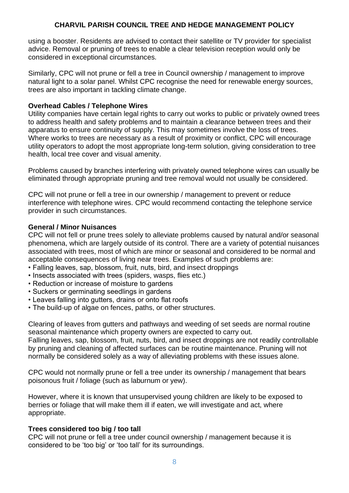using a booster. Residents are advised to contact their satellite or TV provider for specialist advice. Removal or pruning of trees to enable a clear television reception would only be considered in exceptional circumstances.

Similarly, CPC will not prune or fell a tree in Council ownership / management to improve natural light to a solar panel. Whilst CPC recognise the need for renewable energy sources, trees are also important in tackling climate change.

#### **Overhead Cables / Telephone Wires**

Utility companies have certain legal rights to carry out works to public or privately owned trees to address health and safety problems and to maintain a clearance between trees and their apparatus to ensure continuity of supply. This may sometimes involve the loss of trees. Where works to trees are necessary as a result of proximity or conflict, CPC will encourage utility operators to adopt the most appropriate long-term solution, giving consideration to tree health, local tree cover and visual amenity.

Problems caused by branches interfering with privately owned telephone wires can usually be eliminated through appropriate pruning and tree removal would not usually be considered.

CPC will not prune or fell a tree in our ownership / management to prevent or reduce interference with telephone wires. CPC would recommend contacting the telephone service provider in such circumstances.

#### **General / Minor Nuisances**

CPC will not fell or prune trees solely to alleviate problems caused by natural and/or seasonal phenomena, which are largely outside of its control. There are a variety of potential nuisances associated with trees, most of which are minor or seasonal and considered to be normal and acceptable consequences of living near trees. Examples of such problems are:

- Falling leaves, sap, blossom, fruit, nuts, bird, and insect droppings
- Insects associated with trees (spiders, wasps, flies etc.)
- Reduction or increase of moisture to gardens
- Suckers or germinating seedlings in gardens
- Leaves falling into gutters, drains or onto flat roofs
- The build-up of algae on fences, paths, or other structures.

Clearing of leaves from gutters and pathways and weeding of set seeds are normal routine seasonal maintenance which property owners are expected to carry out.

Falling leaves, sap, blossom, fruit, nuts, bird, and insect droppings are not readily controllable by pruning and cleaning of affected surfaces can be routine maintenance. Pruning will not normally be considered solely as a way of alleviating problems with these issues alone.

CPC would not normally prune or fell a tree under its ownership / management that bears poisonous fruit / foliage (such as laburnum or yew).

However, where it is known that unsupervised young children are likely to be exposed to berries or foliage that will make them ill if eaten, we will investigate and act, where appropriate.

## **Trees considered too big / too tall**

CPC will not prune or fell a tree under council ownership / management because it is considered to be 'too big' or 'too tall' for its surroundings.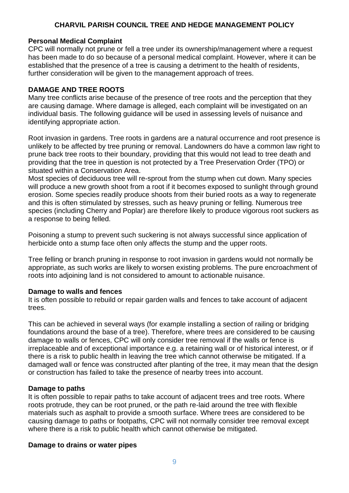## **Personal Medical Complaint**

CPC will normally not prune or fell a tree under its ownership/management where a request has been made to do so because of a personal medical complaint. However, where it can be established that the presence of a tree is causing a detriment to the health of residents, further consideration will be given to the management approach of trees.

## **DAMAGE AND TREE ROOTS**

Many tree conflicts arise because of the presence of tree roots and the perception that they are causing damage. Where damage is alleged, each complaint will be investigated on an individual basis. The following guidance will be used in assessing levels of nuisance and identifying appropriate action.

Root invasion in gardens. Tree roots in gardens are a natural occurrence and root presence is unlikely to be affected by tree pruning or removal. Landowners do have a common law right to prune back tree roots to their boundary, providing that this would not lead to tree death and providing that the tree in question is not protected by a Tree Preservation Order (TPO) or situated within a Conservation Area.

Most species of deciduous tree will re-sprout from the stump when cut down. Many species will produce a new growth shoot from a root if it becomes exposed to sunlight through ground erosion. Some species readily produce shoots from their buried roots as a way to regenerate and this is often stimulated by stresses, such as heavy pruning or felling. Numerous tree species (including Cherry and Poplar) are therefore likely to produce vigorous root suckers as a response to being felled.

Poisoning a stump to prevent such suckering is not always successful since application of herbicide onto a stump face often only affects the stump and the upper roots.

Tree felling or branch pruning in response to root invasion in gardens would not normally be appropriate, as such works are likely to worsen existing problems. The pure encroachment of roots into adjoining land is not considered to amount to actionable nuisance.

## **Damage to walls and fences**

It is often possible to rebuild or repair garden walls and fences to take account of adjacent trees.

This can be achieved in several ways (for example installing a section of railing or bridging foundations around the base of a tree). Therefore, where trees are considered to be causing damage to walls or fences, CPC will only consider tree removal if the walls or fence is irreplaceable and of exceptional importance e.g. a retaining wall or of historical interest, or if there is a risk to public health in leaving the tree which cannot otherwise be mitigated. If a damaged wall or fence was constructed after planting of the tree, it may mean that the design or construction has failed to take the presence of nearby trees into account.

## **Damage to paths**

It is often possible to repair paths to take account of adjacent trees and tree roots. Where roots protrude, they can be root pruned, or the path re-laid around the tree with flexible materials such as asphalt to provide a smooth surface. Where trees are considered to be causing damage to paths or footpaths, CPC will not normally consider tree removal except where there is a risk to public health which cannot otherwise be mitigated.

## **Damage to drains or water pipes**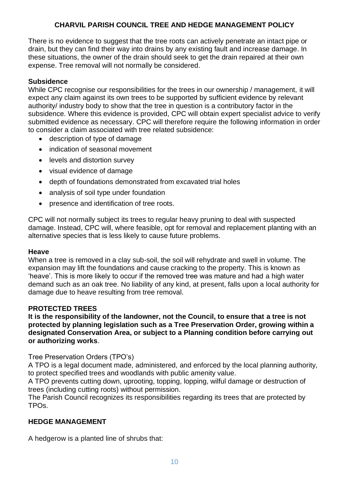There is no evidence to suggest that the tree roots can actively penetrate an intact pipe or drain, but they can find their way into drains by any existing fault and increase damage. In these situations, the owner of the drain should seek to get the drain repaired at their own expense. Tree removal will not normally be considered.

# **Subsidence**

While CPC recognise our responsibilities for the trees in our ownership / management, it will expect any claim against its own trees to be supported by sufficient evidence by relevant authority/ industry body to show that the tree in question is a contributory factor in the subsidence. Where this evidence is provided, CPC will obtain expert specialist advice to verify submitted evidence as necessary. CPC will therefore require the following information in order to consider a claim associated with tree related subsidence:

- description of type of damage
- indication of seasonal movement
- levels and distortion survey
- visual evidence of damage
- depth of foundations demonstrated from excavated trial holes
- analysis of soil type under foundation
- presence and identification of tree roots.

CPC will not normally subject its trees to regular heavy pruning to deal with suspected damage. Instead, CPC will, where feasible, opt for removal and replacement planting with an alternative species that is less likely to cause future problems.

#### **Heave**

When a tree is removed in a clay sub-soil, the soil will rehydrate and swell in volume. The expansion may lift the foundations and cause cracking to the property. This is known as 'heave'. This is more likely to occur if the removed tree was mature and had a high water demand such as an oak tree. No liability of any kind, at present, falls upon a local authority for damage due to heave resulting from tree removal.

## **PROTECTED TREES**

**It is the responsibility of the landowner, not the Council, to ensure that a tree is not protected by planning legislation such as a Tree Preservation Order, growing within a designated Conservation Area, or subject to a Planning condition before carrying out or authorizing works**.

Tree Preservation Orders (TPO's)

A TPO is a legal document made, administered, and enforced by the local planning authority, to protect specified trees and woodlands with public amenity value.

A TPO prevents cutting down, uprooting, topping, lopping, wilful damage or destruction of trees (including cutting roots) without permission.

The Parish Council recognizes its responsibilities regarding its trees that are protected by TPOs.

## **HEDGE MANAGEMENT**

A hedgerow is a planted line of shrubs that: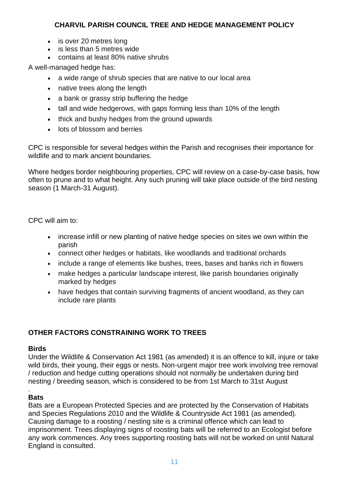- is over 20 metres long
- is less than 5 metres wide
- contains at least 80% native shrubs

A well-managed hedge has:

- a wide range of shrub species that are native to our local area
- native trees along the length
- a bank or grassy strip buffering the hedge
- tall and wide hedgerows, with gaps forming less than 10% of the length
- thick and bushy hedges from the ground upwards
- lots of blossom and berries

CPC is responsible for several hedges within the Parish and recognises their importance for wildlife and to mark ancient boundaries.

Where hedges border neighbouring properties, CPC will review on a case-by-case basis, how often to prune and to what height. Any such pruning will take place outside of the bird nesting season (1 March-31 August).

CPC will aim to:

- increase infill or new planting of native hedge species on sites we own within the parish
- connect other hedges or habitats, like woodlands and traditional orchards
- include a range of elements like bushes, trees, bases and banks rich in flowers
- make hedges a particular landscape interest, like parish boundaries originally marked by hedges
- have hedges that contain surviving fragments of ancient woodland, as they can include rare plants

# **OTHER FACTORS CONSTRAINING WORK TO TREES**

## **Birds**

Under the Wildlife & Conservation Act 1981 (as amended) it is an offence to kill, injure or take wild birds, their young, their eggs or nests. Non-urgent major tree work involving tree removal / reduction and hedge cutting operations should not normally be undertaken during bird nesting / breeding season, which is considered to be from 1st March to 31st August

# **Bats**

.

Bats are a European Protected Species and are protected by the Conservation of Habitats and Species Regulations 2010 and the Wildlife & Countryside Act 1981 (as amended). Causing damage to a roosting / nesting site is a criminal offence which can lead to imprisonment. Trees displaying signs of roosting bats will be referred to an Ecologist before any work commences. Any trees supporting roosting bats will not be worked on until Natural England is consulted.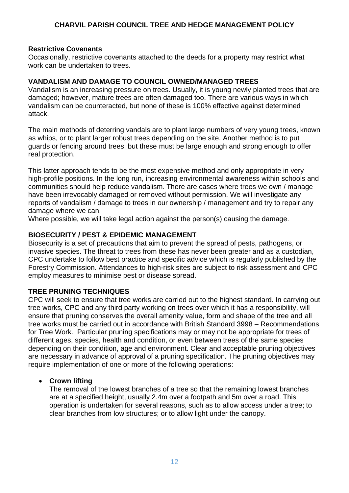## **Restrictive Covenants**

Occasionally, restrictive covenants attached to the deeds for a property may restrict what work can be undertaken to trees.

## **VANDALISM AND DAMAGE TO COUNCIL OWNED/MANAGED TREES**

Vandalism is an increasing pressure on trees. Usually, it is young newly planted trees that are damaged; however, mature trees are often damaged too. There are various ways in which vandalism can be counteracted, but none of these is 100% effective against determined attack.

The main methods of deterring vandals are to plant large numbers of very young trees, known as whips, or to plant larger robust trees depending on the site. Another method is to put guards or fencing around trees, but these must be large enough and strong enough to offer real protection.

This latter approach tends to be the most expensive method and only appropriate in very high-profile positions. In the long run, increasing environmental awareness within schools and communities should help reduce vandalism. There are cases where trees we own / manage have been irrevocably damaged or removed without permission. We will investigate any reports of vandalism / damage to trees in our ownership / management and try to repair any damage where we can.

Where possible, we will take legal action against the person(s) causing the damage.

# **BIOSECURITY / PEST & EPIDEMIC MANAGEMENT**

Biosecurity is a set of precautions that aim to prevent the spread of pests, pathogens, or invasive species. The threat to trees from these has never been greater and as a custodian, CPC undertake to follow best practice and specific advice which is regularly published by the Forestry Commission. Attendances to high-risk sites are subject to risk assessment and CPC employ measures to minimise pest or disease spread.

# **TREE PRUNING TECHNIQUES**

CPC will seek to ensure that tree works are carried out to the highest standard. In carrying out tree works, CPC and any third party working on trees over which it has a responsibility, will ensure that pruning conserves the overall amenity value, form and shape of the tree and all tree works must be carried out in accordance with British Standard 3998 – Recommendations for Tree Work. Particular pruning specifications may or may not be appropriate for trees of different ages, species, health and condition, or even between trees of the same species depending on their condition, age and environment. Clear and acceptable pruning objectives are necessary in advance of approval of a pruning specification. The pruning objectives may require implementation of one or more of the following operations:

# • **Crown lifting**

The removal of the lowest branches of a tree so that the remaining lowest branches are at a specified height, usually 2.4m over a footpath and 5m over a road. This operation is undertaken for several reasons, such as to allow access under a tree; to clear branches from low structures; or to allow light under the canopy.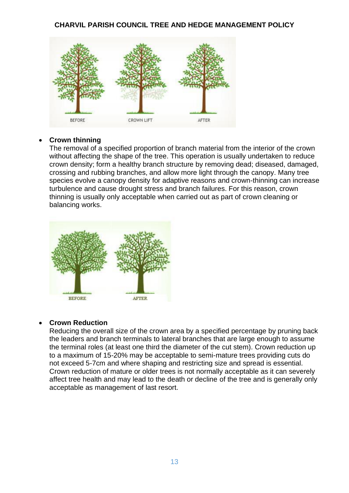

## • **Crown thinning**

The removal of a specified proportion of branch material from the interior of the crown without affecting the shape of the tree. This operation is usually undertaken to reduce crown density; form a healthy branch structure by removing dead; diseased, damaged, crossing and rubbing branches, and allow more light through the canopy. Many tree species evolve a canopy density for adaptive reasons and crown-thinning can increase turbulence and cause drought stress and branch failures. For this reason, crown thinning is usually only acceptable when carried out as part of crown cleaning or balancing works.



## • **Crown Reduction**

Reducing the overall size of the crown area by a specified percentage by pruning back the leaders and branch terminals to lateral branches that are large enough to assume the terminal roles (at least one third the diameter of the cut stem). Crown reduction up to a maximum of 15-20% may be acceptable to semi-mature trees providing cuts do not exceed 5-7cm and where shaping and restricting size and spread is essential. Crown reduction of mature or older trees is not normally acceptable as it can severely affect tree health and may lead to the death or decline of the tree and is generally only acceptable as management of last resort.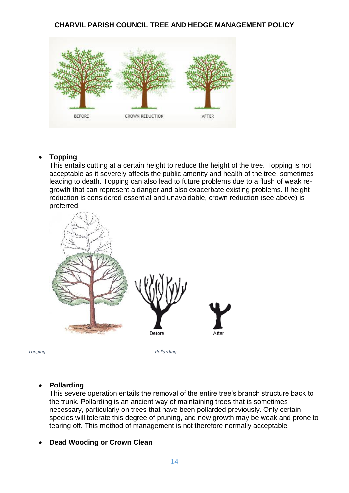

# • **Topping**

This entails cutting at a certain height to reduce the height of the tree. Topping is not acceptable as it severely affects the public amenity and health of the tree, sometimes leading to death. Topping can also lead to future problems due to a flush of weak regrowth that can represent a danger and also exacerbate existing problems. If height reduction is considered essential and unavoidable, crown reduction (see above) is preferred.



*Topping Pollarding* 

## • **Pollarding**

This severe operation entails the removal of the entire tree's branch structure back to the trunk. Pollarding is an ancient way of maintaining trees that is sometimes necessary, particularly on trees that have been pollarded previously. Only certain species will tolerate this degree of pruning, and new growth may be weak and prone to tearing off. This method of management is not therefore normally acceptable.

## • **Dead Wooding or Crown Clean**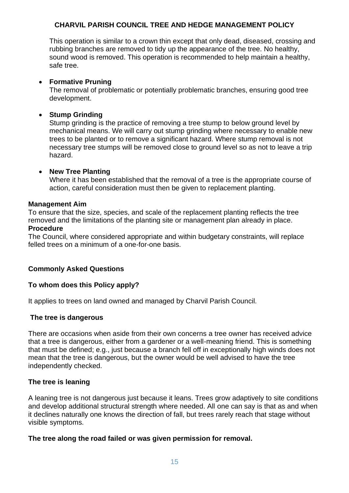This operation is similar to a crown thin except that only dead, diseased, crossing and rubbing branches are removed to tidy up the appearance of the tree. No healthy, sound wood is removed. This operation is recommended to help maintain a healthy, safe tree.

## • **Formative Pruning**

The removal of problematic or potentially problematic branches, ensuring good tree development.

# • **Stump Grinding**

Stump grinding is the practice of removing a tree stump to below ground level by mechanical means. We will carry out stump grinding where necessary to enable new trees to be planted or to remove a significant hazard. Where stump removal is not necessary tree stumps will be removed close to ground level so as not to leave a trip hazard.

# • **New Tree Planting**

Where it has been established that the removal of a tree is the appropriate course of action, careful consideration must then be given to replacement planting.

## **Management Aim**

To ensure that the size, species, and scale of the replacement planting reflects the tree removed and the limitations of the planting site or management plan already in place. **Procedure** 

The Council, where considered appropriate and within budgetary constraints, will replace felled trees on a minimum of a one-for-one basis.

# **Commonly Asked Questions**

# **To whom does this Policy apply?**

It applies to trees on land owned and managed by Charvil Parish Council.

## **The tree is dangerous**

There are occasions when aside from their own concerns a tree owner has received advice that a tree is dangerous, either from a gardener or a well-meaning friend. This is something that must be defined; e.g., just because a branch fell off in exceptionally high winds does not mean that the tree is dangerous, but the owner would be well advised to have the tree independently checked.

## **The tree is leaning**

A leaning tree is not dangerous just because it leans. Trees grow adaptively to site conditions and develop additional structural strength where needed. All one can say is that as and when it declines naturally one knows the direction of fall, but trees rarely reach that stage without visible symptoms.

## **The tree along the road failed or was given permission for removal.**